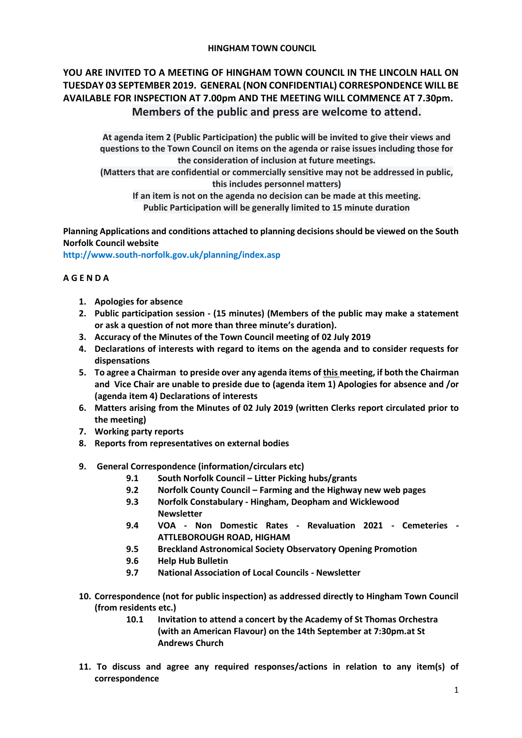## **HINGHAM TOWN COUNCIL**

# **YOU ARE INVITED TO A MEETING OF HINGHAM TOWN COUNCIL IN THE LINCOLN HALL ON TUESDAY 03 SEPTEMBER 2019. GENERAL (NON CONFIDENTIAL) CORRESPONDENCE WILL BE AVAILABLE FOR INSPECTION AT 7.00pm AND THE MEETING WILL COMMENCE AT 7.30pm. Members of the public and press are welcome to attend.**

**At agenda item 2 (Public Participation) the public will be invited to give their views and questions to the Town Council on items on the agenda or raise issues including those for the consideration of inclusion at future meetings.**

**(Matters that are confidential or commercially sensitive may not be addressed in public, this includes personnel matters)**

**If an item is not on the agenda no decision can be made at this meeting. Public Participation will be generally limited to 15 minute duration**

**Planning Applications and conditions attached to planning decisions should be viewed on the South Norfolk Council website** 

**<http://www.south-norfolk.gov.uk/planning/index.asp>**

# **A G E N D A**

- **1. Apologies for absence**
- **2. Public participation session - (15 minutes) (Members of the public may make a statement or ask a question of not more than three minute's duration).**
- **3. Accuracy of the Minutes of the Town Council meeting of 02 July 2019**
- **4. Declarations of interests with regard to items on the agenda and to consider requests for dispensations**
- **5. To agree a Chairman to preside over any agenda items of this meeting, if both the Chairman and Vice Chair are unable to preside due to (agenda item 1) Apologies for absence and /or (agenda item 4) Declarations of interests**
- **6. Matters arising from the Minutes of 02 July 2019 (written Clerks report circulated prior to the meeting)**
- **7. Working party reports**
- **8. Reports from representatives on external bodies**
- **9. General Correspondence (information/circulars etc)**
	- **9.1 South Norfolk Council – Litter Picking hubs/grants**
	- **9.2 Norfolk County Council – Farming and the Highway new web pages**
	- **9.3 Norfolk Constabulary - Hingham, Deopham and Wicklewood Newsletter**
	- **9.4 VOA - Non Domestic Rates - Revaluation 2021 - Cemeteries - ATTLEBOROUGH ROAD, HIGHAM**
	- **9.5 Breckland Astronomical Society Observatory Opening Promotion**
	- **9.6 Help Hub Bulletin**
	- **9.7 National Association of Local Councils - Newsletter**
- **10. Correspondence (not for public inspection) as addressed directly to Hingham Town Council (from residents etc.)**
	- **10.1 Invitation to attend a concert by the Academy of St Thomas Orchestra (with an American Flavour) on the 14th September at 7:30pm.at St Andrews Church**
- **11. To discuss and agree any required responses/actions in relation to any item(s) of correspondence**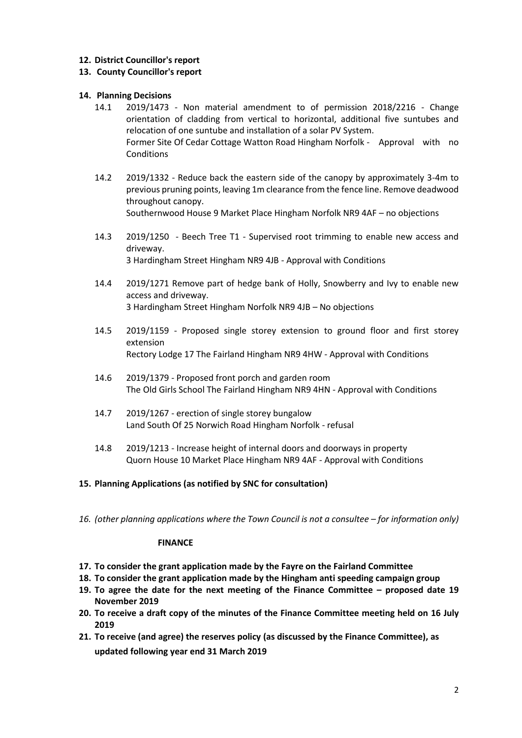# **12. District Councillor's report**

## **13. County Councillor's report**

## **14. Planning Decisions**

- 14.1 2019/1473 Non material amendment to of permission 2018/2216 Change orientation of cladding from vertical to horizontal, additional five suntubes and relocation of one suntube and installation of a solar PV System. Former Site Of Cedar Cottage Watton Road Hingham Norfolk - Approval with no **Conditions**
- 14.2 2019/1332 Reduce back the eastern side of the canopy by approximately 3-4m to previous pruning points, leaving 1m clearance from the fence line. Remove deadwood throughout canopy. Southernwood House 9 Market Place Hingham Norfolk NR9 4AF – no objections
- 14.3 2019/1250 Beech Tree T1 Supervised root trimming to enable new access and driveway. 3 Hardingham Street Hingham NR9 4JB - Approval with Conditions
- 14.4 2019/1271 Remove part of hedge bank of Holly, Snowberry and Ivy to enable new access and driveway. 3 Hardingham Street Hingham Norfolk NR9 4JB – No objections
- 14.5 2019/1159 Proposed single storey extension to ground floor and first storey extension Rectory Lodge 17 The Fairland Hingham NR9 4HW - Approval with Conditions
- 14.6 2019/1379 Proposed front porch and garden room The Old Girls School The Fairland Hingham NR9 4HN - Approval with Conditions
- 14.7 2019/1267 erection of single storey bungalow Land South Of 25 Norwich Road Hingham Norfolk - refusal
- 14.8 2019/1213 Increase height of internal doors and doorways in property Quorn House 10 Market Place Hingham NR9 4AF - Approval with Conditions

#### **15. Planning Applications (as notified by SNC for consultation)**

16. (other planning applications where the Town Council is not a consultee – for information only)

#### **FINANCE**

- **17. To consider the grant application made by the Fayre on the Fairland Committee**
- **18. To consider the grant application made by the Hingham anti speeding campaign group**
- **19. To agree the date for the next meeting of the Finance Committee – proposed date 19 November 2019**
- **20. To receive a draft copy of the minutes of the Finance Committee meeting held on 16 July 2019**
- **21. To receive (and agree) the reserves policy (as discussed by the Finance Committee), as updated following year end 31 March 2019**